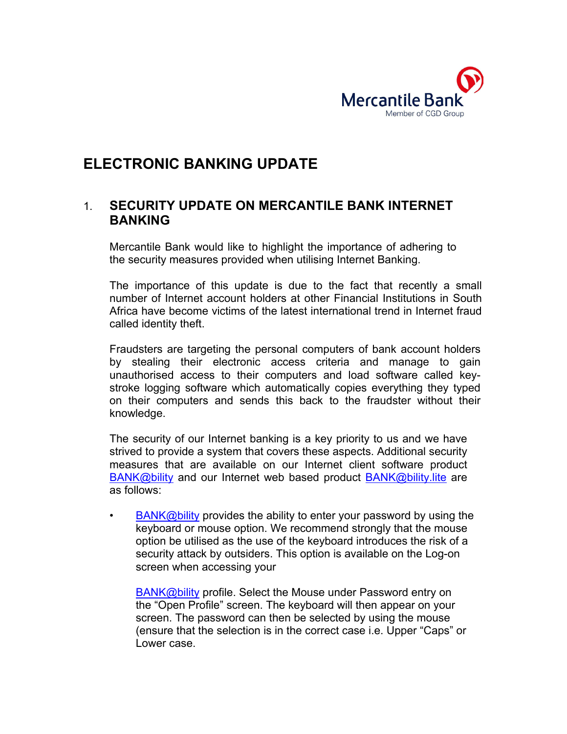

## **ELECTRONIC BANKING UPDATE**

## 1. **SECURITY UPDATE ON MERCANTILE BANK INTERNET BANKING**

Mercantile Bank would like to highlight the importance of adhering to the security measures provided when utilising Internet Banking.

The importance of this update is due to the fact that recently a small number of Internet account holders at other Financial Institutions in South Africa have become victims of the latest international trend in Internet fraud called identity theft.

Fraudsters are targeting the personal computers of bank account holders by stealing their electronic access criteria and manage to gain unauthorised access to their computers and load software called keystroke logging software which automatically copies everything they typed on their computers and sends this back to the fraudster without their knowledge.

The security of our Internet banking is a key priority to us and we have strived to provide a system that covers these aspects. Additional security measures that are available on our Internet client software product BANK@bility and our Internet web based product **BANK@bility.lite** are as follows:

BANK@bility provides the ability to enter your password by using the keyboard or mouse option. We recommend strongly that the mouse option be utilised as the use of the keyboard introduces the risk of a security attack by outsiders. This option is available on the Log-on screen when accessing your

BANK@bility profile. Select the Mouse under Password entry on the "Open Profile" screen. The keyboard will then appear on your screen. The password can then be selected by using the mouse (ensure that the selection is in the correct case i.e. Upper "Caps" or Lower case.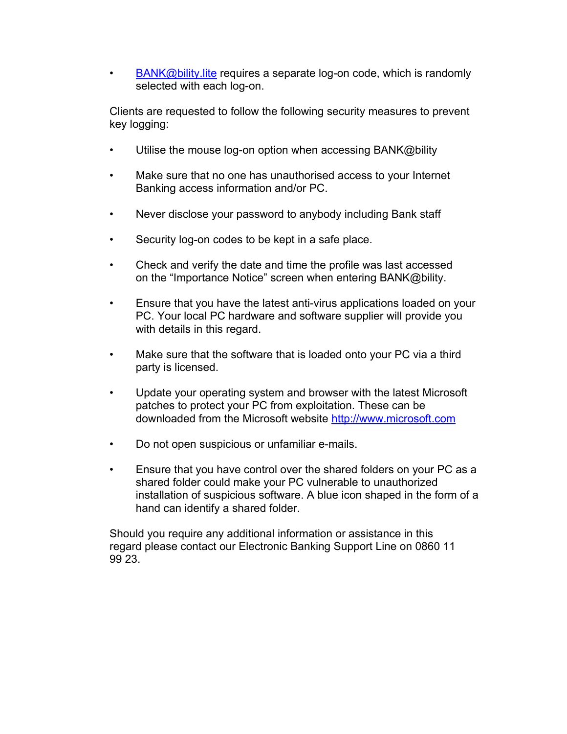• BANK@bility.lite requires a separate log-on code, which is randomly selected with each log-on.

Clients are requested to follow the following security measures to prevent key logging:

- Utilise the mouse log-on option when accessing BANK@bility
- Make sure that no one has unauthorised access to your Internet Banking access information and/or PC.
- Never disclose your password to anybody including Bank staff
- Security log-on codes to be kept in a safe place.
- Check and verify the date and time the profile was last accessed on the "Importance Notice" screen when entering BANK@bility.
- Ensure that you have the latest anti-virus applications loaded on your PC. Your local PC hardware and software supplier will provide you with details in this regard.
- Make sure that the software that is loaded onto your PC via a third party is licensed.
- Update your operating system and browser with the latest Microsoft patches to protect your PC from exploitation. These can be downloaded from the Microsoft website http://www.microsoft.com
- Do not open suspicious or unfamiliar e-mails.
- Ensure that you have control over the shared folders on your PC as a shared folder could make your PC vulnerable to unauthorized installation of suspicious software. A blue icon shaped in the form of a hand can identify a shared folder.

Should you require any additional information or assistance in this regard please contact our Electronic Banking Support Line on 0860 11 99 23.